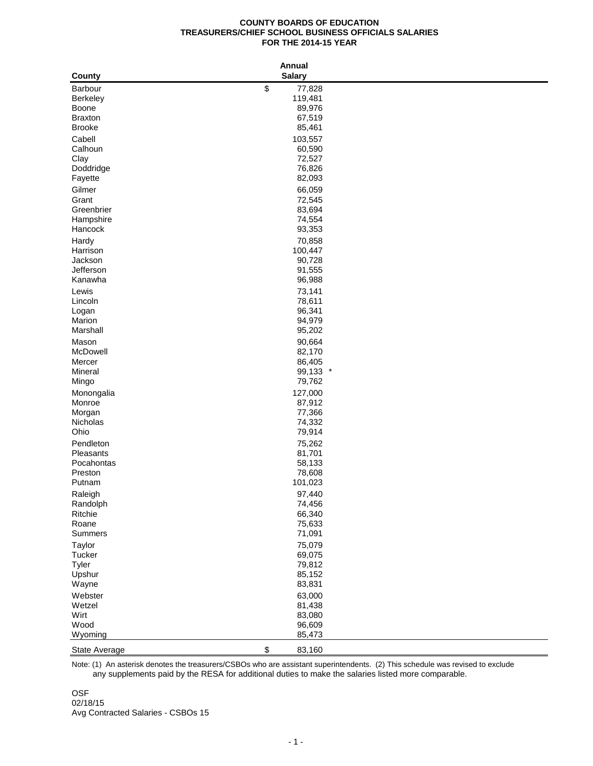## **COUNTY BOARDS OF EDUCATION TREASURERS/CHIEF SCHOOL BUSINESS OFFICIALS SALARIES FOR THE 2014-15 YEAR**

| <b>Salary</b><br>\$<br>77,828<br>Barbour<br>119,481<br><b>Berkeley</b><br>89,976<br>Boone<br>67,519<br><b>Braxton</b><br><b>Brooke</b><br>85,461<br>Cabell<br>103,557<br>Calhoun<br>60,590<br>Clay<br>72,527<br>76,826<br>Doddridge<br>82,093<br>Fayette<br>66,059<br>Gilmer<br>Grant<br>72,545<br>Greenbrier<br>83,694<br>Hampshire<br>74,554<br>93,353<br>Hancock<br>70,858<br>Hardy<br>Harrison<br>100,447<br>Jackson<br>90,728<br>Jefferson<br>91,555<br>Kanawha<br>96,988<br>73,141<br>Lewis<br>Lincoln<br>78,611<br>96,341<br>Logan<br>Marion<br>94,979<br>95,202<br>Marshall<br>90,664<br>Mason<br>McDowell<br>82,170<br>Mercer<br>86,405<br>99,133 *<br>Mineral<br>79,762<br>Mingo<br>127,000<br>Monongalia<br>87,912<br>Monroe<br>77,366<br>Morgan<br>74,332<br>Nicholas<br>79,914<br>Ohio<br>Pendleton<br>75,262<br>Pleasants<br>81,701<br>Pocahontas<br>58,133<br>78,608<br>Preston<br>101,023<br>Putnam<br>97,440<br>Raleigh<br>Randolph<br>74,456<br>66,340<br>Ritchie<br>Roane<br>75,633<br>Summers<br>71,091<br>75,079<br>Taylor<br>Tucker<br>69,075<br>79,812<br>Tyler<br>Upshur<br>85,152<br>Wayne<br>83,831<br>Webster<br>63,000<br>Wetzel<br>81,438<br>Wirt<br>83,080<br>Wood<br>96,609<br>Wyoming<br>85,473<br>$\,$<br>83,160<br>State Average |        | <b>Annual</b> |  |
|--------------------------------------------------------------------------------------------------------------------------------------------------------------------------------------------------------------------------------------------------------------------------------------------------------------------------------------------------------------------------------------------------------------------------------------------------------------------------------------------------------------------------------------------------------------------------------------------------------------------------------------------------------------------------------------------------------------------------------------------------------------------------------------------------------------------------------------------------------------------------------------------------------------------------------------------------------------------------------------------------------------------------------------------------------------------------------------------------------------------------------------------------------------------------------------------------------------------------------------------------------------------|--------|---------------|--|
|                                                                                                                                                                                                                                                                                                                                                                                                                                                                                                                                                                                                                                                                                                                                                                                                                                                                                                                                                                                                                                                                                                                                                                                                                                                                    | County |               |  |
|                                                                                                                                                                                                                                                                                                                                                                                                                                                                                                                                                                                                                                                                                                                                                                                                                                                                                                                                                                                                                                                                                                                                                                                                                                                                    |        |               |  |
|                                                                                                                                                                                                                                                                                                                                                                                                                                                                                                                                                                                                                                                                                                                                                                                                                                                                                                                                                                                                                                                                                                                                                                                                                                                                    |        |               |  |
|                                                                                                                                                                                                                                                                                                                                                                                                                                                                                                                                                                                                                                                                                                                                                                                                                                                                                                                                                                                                                                                                                                                                                                                                                                                                    |        |               |  |
|                                                                                                                                                                                                                                                                                                                                                                                                                                                                                                                                                                                                                                                                                                                                                                                                                                                                                                                                                                                                                                                                                                                                                                                                                                                                    |        |               |  |
|                                                                                                                                                                                                                                                                                                                                                                                                                                                                                                                                                                                                                                                                                                                                                                                                                                                                                                                                                                                                                                                                                                                                                                                                                                                                    |        |               |  |
|                                                                                                                                                                                                                                                                                                                                                                                                                                                                                                                                                                                                                                                                                                                                                                                                                                                                                                                                                                                                                                                                                                                                                                                                                                                                    |        |               |  |
|                                                                                                                                                                                                                                                                                                                                                                                                                                                                                                                                                                                                                                                                                                                                                                                                                                                                                                                                                                                                                                                                                                                                                                                                                                                                    |        |               |  |
|                                                                                                                                                                                                                                                                                                                                                                                                                                                                                                                                                                                                                                                                                                                                                                                                                                                                                                                                                                                                                                                                                                                                                                                                                                                                    |        |               |  |
|                                                                                                                                                                                                                                                                                                                                                                                                                                                                                                                                                                                                                                                                                                                                                                                                                                                                                                                                                                                                                                                                                                                                                                                                                                                                    |        |               |  |
|                                                                                                                                                                                                                                                                                                                                                                                                                                                                                                                                                                                                                                                                                                                                                                                                                                                                                                                                                                                                                                                                                                                                                                                                                                                                    |        |               |  |
|                                                                                                                                                                                                                                                                                                                                                                                                                                                                                                                                                                                                                                                                                                                                                                                                                                                                                                                                                                                                                                                                                                                                                                                                                                                                    |        |               |  |
|                                                                                                                                                                                                                                                                                                                                                                                                                                                                                                                                                                                                                                                                                                                                                                                                                                                                                                                                                                                                                                                                                                                                                                                                                                                                    |        |               |  |
|                                                                                                                                                                                                                                                                                                                                                                                                                                                                                                                                                                                                                                                                                                                                                                                                                                                                                                                                                                                                                                                                                                                                                                                                                                                                    |        |               |  |
|                                                                                                                                                                                                                                                                                                                                                                                                                                                                                                                                                                                                                                                                                                                                                                                                                                                                                                                                                                                                                                                                                                                                                                                                                                                                    |        |               |  |
|                                                                                                                                                                                                                                                                                                                                                                                                                                                                                                                                                                                                                                                                                                                                                                                                                                                                                                                                                                                                                                                                                                                                                                                                                                                                    |        |               |  |
|                                                                                                                                                                                                                                                                                                                                                                                                                                                                                                                                                                                                                                                                                                                                                                                                                                                                                                                                                                                                                                                                                                                                                                                                                                                                    |        |               |  |
|                                                                                                                                                                                                                                                                                                                                                                                                                                                                                                                                                                                                                                                                                                                                                                                                                                                                                                                                                                                                                                                                                                                                                                                                                                                                    |        |               |  |
|                                                                                                                                                                                                                                                                                                                                                                                                                                                                                                                                                                                                                                                                                                                                                                                                                                                                                                                                                                                                                                                                                                                                                                                                                                                                    |        |               |  |
|                                                                                                                                                                                                                                                                                                                                                                                                                                                                                                                                                                                                                                                                                                                                                                                                                                                                                                                                                                                                                                                                                                                                                                                                                                                                    |        |               |  |
|                                                                                                                                                                                                                                                                                                                                                                                                                                                                                                                                                                                                                                                                                                                                                                                                                                                                                                                                                                                                                                                                                                                                                                                                                                                                    |        |               |  |
|                                                                                                                                                                                                                                                                                                                                                                                                                                                                                                                                                                                                                                                                                                                                                                                                                                                                                                                                                                                                                                                                                                                                                                                                                                                                    |        |               |  |
|                                                                                                                                                                                                                                                                                                                                                                                                                                                                                                                                                                                                                                                                                                                                                                                                                                                                                                                                                                                                                                                                                                                                                                                                                                                                    |        |               |  |
|                                                                                                                                                                                                                                                                                                                                                                                                                                                                                                                                                                                                                                                                                                                                                                                                                                                                                                                                                                                                                                                                                                                                                                                                                                                                    |        |               |  |
|                                                                                                                                                                                                                                                                                                                                                                                                                                                                                                                                                                                                                                                                                                                                                                                                                                                                                                                                                                                                                                                                                                                                                                                                                                                                    |        |               |  |
|                                                                                                                                                                                                                                                                                                                                                                                                                                                                                                                                                                                                                                                                                                                                                                                                                                                                                                                                                                                                                                                                                                                                                                                                                                                                    |        |               |  |
|                                                                                                                                                                                                                                                                                                                                                                                                                                                                                                                                                                                                                                                                                                                                                                                                                                                                                                                                                                                                                                                                                                                                                                                                                                                                    |        |               |  |
|                                                                                                                                                                                                                                                                                                                                                                                                                                                                                                                                                                                                                                                                                                                                                                                                                                                                                                                                                                                                                                                                                                                                                                                                                                                                    |        |               |  |
|                                                                                                                                                                                                                                                                                                                                                                                                                                                                                                                                                                                                                                                                                                                                                                                                                                                                                                                                                                                                                                                                                                                                                                                                                                                                    |        |               |  |
|                                                                                                                                                                                                                                                                                                                                                                                                                                                                                                                                                                                                                                                                                                                                                                                                                                                                                                                                                                                                                                                                                                                                                                                                                                                                    |        |               |  |
|                                                                                                                                                                                                                                                                                                                                                                                                                                                                                                                                                                                                                                                                                                                                                                                                                                                                                                                                                                                                                                                                                                                                                                                                                                                                    |        |               |  |
|                                                                                                                                                                                                                                                                                                                                                                                                                                                                                                                                                                                                                                                                                                                                                                                                                                                                                                                                                                                                                                                                                                                                                                                                                                                                    |        |               |  |
|                                                                                                                                                                                                                                                                                                                                                                                                                                                                                                                                                                                                                                                                                                                                                                                                                                                                                                                                                                                                                                                                                                                                                                                                                                                                    |        |               |  |
|                                                                                                                                                                                                                                                                                                                                                                                                                                                                                                                                                                                                                                                                                                                                                                                                                                                                                                                                                                                                                                                                                                                                                                                                                                                                    |        |               |  |
|                                                                                                                                                                                                                                                                                                                                                                                                                                                                                                                                                                                                                                                                                                                                                                                                                                                                                                                                                                                                                                                                                                                                                                                                                                                                    |        |               |  |
|                                                                                                                                                                                                                                                                                                                                                                                                                                                                                                                                                                                                                                                                                                                                                                                                                                                                                                                                                                                                                                                                                                                                                                                                                                                                    |        |               |  |
|                                                                                                                                                                                                                                                                                                                                                                                                                                                                                                                                                                                                                                                                                                                                                                                                                                                                                                                                                                                                                                                                                                                                                                                                                                                                    |        |               |  |
|                                                                                                                                                                                                                                                                                                                                                                                                                                                                                                                                                                                                                                                                                                                                                                                                                                                                                                                                                                                                                                                                                                                                                                                                                                                                    |        |               |  |
|                                                                                                                                                                                                                                                                                                                                                                                                                                                                                                                                                                                                                                                                                                                                                                                                                                                                                                                                                                                                                                                                                                                                                                                                                                                                    |        |               |  |
|                                                                                                                                                                                                                                                                                                                                                                                                                                                                                                                                                                                                                                                                                                                                                                                                                                                                                                                                                                                                                                                                                                                                                                                                                                                                    |        |               |  |
|                                                                                                                                                                                                                                                                                                                                                                                                                                                                                                                                                                                                                                                                                                                                                                                                                                                                                                                                                                                                                                                                                                                                                                                                                                                                    |        |               |  |
|                                                                                                                                                                                                                                                                                                                                                                                                                                                                                                                                                                                                                                                                                                                                                                                                                                                                                                                                                                                                                                                                                                                                                                                                                                                                    |        |               |  |
|                                                                                                                                                                                                                                                                                                                                                                                                                                                                                                                                                                                                                                                                                                                                                                                                                                                                                                                                                                                                                                                                                                                                                                                                                                                                    |        |               |  |
|                                                                                                                                                                                                                                                                                                                                                                                                                                                                                                                                                                                                                                                                                                                                                                                                                                                                                                                                                                                                                                                                                                                                                                                                                                                                    |        |               |  |
|                                                                                                                                                                                                                                                                                                                                                                                                                                                                                                                                                                                                                                                                                                                                                                                                                                                                                                                                                                                                                                                                                                                                                                                                                                                                    |        |               |  |
|                                                                                                                                                                                                                                                                                                                                                                                                                                                                                                                                                                                                                                                                                                                                                                                                                                                                                                                                                                                                                                                                                                                                                                                                                                                                    |        |               |  |
|                                                                                                                                                                                                                                                                                                                                                                                                                                                                                                                                                                                                                                                                                                                                                                                                                                                                                                                                                                                                                                                                                                                                                                                                                                                                    |        |               |  |
|                                                                                                                                                                                                                                                                                                                                                                                                                                                                                                                                                                                                                                                                                                                                                                                                                                                                                                                                                                                                                                                                                                                                                                                                                                                                    |        |               |  |
|                                                                                                                                                                                                                                                                                                                                                                                                                                                                                                                                                                                                                                                                                                                                                                                                                                                                                                                                                                                                                                                                                                                                                                                                                                                                    |        |               |  |
|                                                                                                                                                                                                                                                                                                                                                                                                                                                                                                                                                                                                                                                                                                                                                                                                                                                                                                                                                                                                                                                                                                                                                                                                                                                                    |        |               |  |
|                                                                                                                                                                                                                                                                                                                                                                                                                                                                                                                                                                                                                                                                                                                                                                                                                                                                                                                                                                                                                                                                                                                                                                                                                                                                    |        |               |  |
|                                                                                                                                                                                                                                                                                                                                                                                                                                                                                                                                                                                                                                                                                                                                                                                                                                                                                                                                                                                                                                                                                                                                                                                                                                                                    |        |               |  |
|                                                                                                                                                                                                                                                                                                                                                                                                                                                                                                                                                                                                                                                                                                                                                                                                                                                                                                                                                                                                                                                                                                                                                                                                                                                                    |        |               |  |
|                                                                                                                                                                                                                                                                                                                                                                                                                                                                                                                                                                                                                                                                                                                                                                                                                                                                                                                                                                                                                                                                                                                                                                                                                                                                    |        |               |  |

 any supplements paid by the RESA for additional duties to make the salaries listed more comparable. Note: (1) An asterisk denotes the treasurers/CSBOs who are assistant superintendents. (2) This schedule was revised to exclude